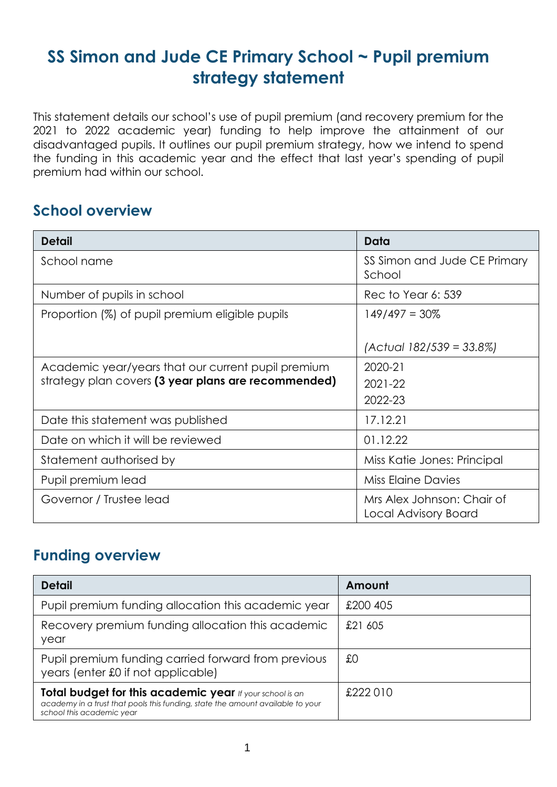## **SS Simon and Jude CE Primary School ~ Pupil premium strategy statement**

This statement details our school's use of pupil premium (and recovery premium for the 2021 to 2022 academic year) funding to help improve the attainment of our disadvantaged pupils. It outlines our pupil premium strategy, how we intend to spend the funding in this academic year and the effect that last year's spending of pupil premium had within our school.

#### **School overview**

| <b>Detail</b>                                       | Data                                               |
|-----------------------------------------------------|----------------------------------------------------|
| School name                                         | SS Simon and Jude CE Primary<br>School             |
| Number of pupils in school                          | Rec to Year 6: 539                                 |
| Proportion (%) of pupil premium eligible pupils     | $149/497 = 30\%$                                   |
|                                                     | $ Actual 182/539 = 33.8\% $                        |
| Academic year/years that our current pupil premium  | 2020-21                                            |
| strategy plan covers (3 year plans are recommended) | $2021 - 22$                                        |
|                                                     | 2022-23                                            |
| Date this statement was published                   | 17.12.21                                           |
| Date on which it will be reviewed                   | 01.12.22                                           |
| Statement authorised by                             | Miss Katie Jones: Principal                        |
| Pupil premium lead                                  | Miss Elaine Davies                                 |
| Governor / Trustee lead                             | Mrs Alex Johnson: Chair of<br>Local Advisory Board |

#### **Funding overview**

| <b>Detail</b>                                                                                                                                                           | Amount   |
|-------------------------------------------------------------------------------------------------------------------------------------------------------------------------|----------|
| Pupil premium funding allocation this academic year                                                                                                                     | £200 405 |
| Recovery premium funding allocation this academic<br>year                                                                                                               | £21 605  |
| Pupil premium funding carried forward from previous<br>years (enter £0 if not applicable)                                                                               | £0       |
| Total budget for this academic year If your school is an<br>academy in a trust that pools this funding, state the amount available to your<br>school this academic year | £222010  |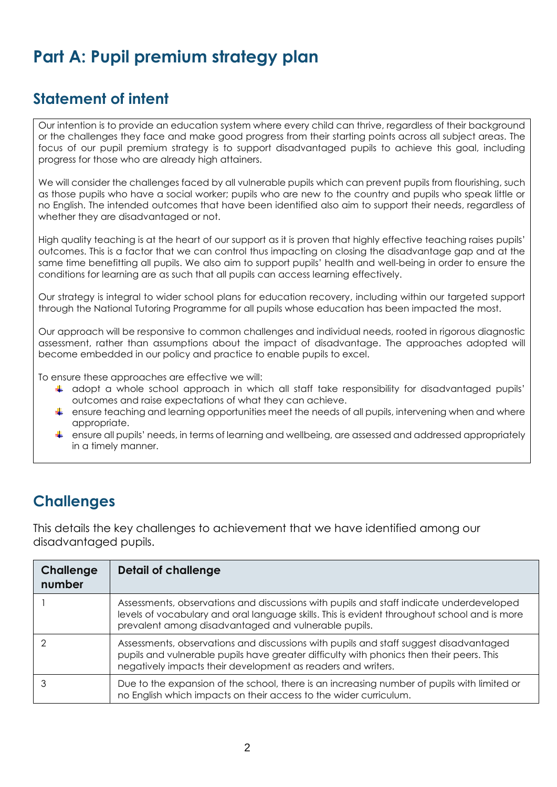# **Part A: Pupil premium strategy plan**

## **Statement of intent**

Our intention is to provide an education system where every child can thrive, regardless of their background or the challenges they face and make good progress from their starting points across all subject areas. The focus of our pupil premium strategy is to support disadvantaged pupils to achieve this goal, including progress for those who are already high attainers.

We will consider the challenges faced by all vulnerable pupils which can prevent pupils from flourishing, such as those pupils who have a social worker; pupils who are new to the country and pupils who speak little or no English. The intended outcomes that have been identified also aim to support their needs, regardless of whether they are disadvantaged or not.

High quality teaching is at the heart of our support as it is proven that highly effective teaching raises pupils' outcomes. This is a factor that we can control thus impacting on closing the disadvantage gap and at the same time benefitting all pupils. We also aim to support pupils' health and well-being in order to ensure the conditions for learning are as such that all pupils can access learning effectively.

Our strategy is integral to wider school plans for education recovery, including within our targeted support through the National Tutoring Programme for all pupils whose education has been impacted the most.

Our approach will be responsive to common challenges and individual needs, rooted in rigorous diagnostic assessment, rather than assumptions about the impact of disadvantage. The approaches adopted will become embedded in our policy and practice to enable pupils to excel.

To ensure these approaches are effective we will:

- adopt a whole school approach in which all staff take responsibility for disadvantaged pupils' outcomes and raise expectations of what they can achieve.
- $\ddot{\phantom{a}}$  ensure teaching and learning opportunities meet the needs of all pupils, intervening when and where appropriate.
- ensure all pupils' needs, in terms of learning and wellbeing, are assessed and addressed appropriately in a timely manner.

## **Challenges**

This details the key challenges to achievement that we have identified among our disadvantaged pupils.

| Challenge<br>number | <b>Detail of challenge</b>                                                                                                                                                                                                                        |
|---------------------|---------------------------------------------------------------------------------------------------------------------------------------------------------------------------------------------------------------------------------------------------|
|                     | Assessments, observations and discussions with pupils and staff indicate underdeveloped<br>levels of vocabulary and oral language skills. This is evident throughout school and is more<br>prevalent among disadvantaged and vulnerable pupils.   |
|                     | Assessments, observations and discussions with pupils and staff suggest disadvantaged<br>pupils and vulnerable pupils have greater difficulty with phonics then their peers. This<br>negatively impacts their development as readers and writers. |
|                     | Due to the expansion of the school, there is an increasing number of pupils with limited or<br>no English which impacts on their access to the wider curriculum.                                                                                  |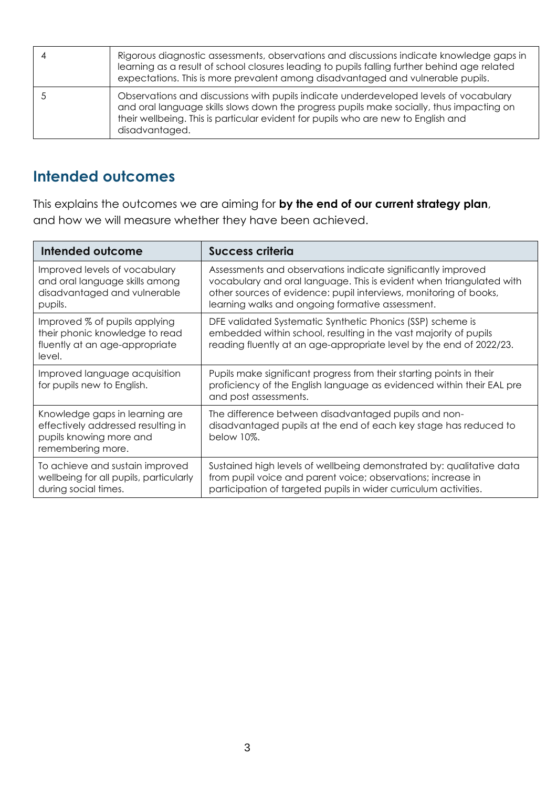| Rigorous diagnostic assessments, observations and discussions indicate knowledge gaps in<br>learning as a result of school closures leading to pupils falling further behind age related<br>expectations. This is more prevalent among disadvantaged and vulnerable pupils.              |
|------------------------------------------------------------------------------------------------------------------------------------------------------------------------------------------------------------------------------------------------------------------------------------------|
| Observations and discussions with pupils indicate underdeveloped levels of vocabulary<br>and oral language skills slows down the progress pupils make socially, thus impacting on<br>their wellbeing. This is particular evident for pupils who are new to English and<br>disadvantaged. |

## **Intended outcomes**

This explains the outcomes we are aiming for **by the end of our current strategy plan**, and how we will measure whether they have been achieved.

| Intended outcome                                                                                                     | <b>Success criteria</b>                                                                                                                                                                                                                                       |
|----------------------------------------------------------------------------------------------------------------------|---------------------------------------------------------------------------------------------------------------------------------------------------------------------------------------------------------------------------------------------------------------|
| Improved levels of vocabulary<br>and oral language skills among<br>disadvantaged and vulnerable<br>pupils.           | Assessments and observations indicate significantly improved<br>vocabulary and oral language. This is evident when triangulated with<br>other sources of evidence: pupil interviews, monitoring of books,<br>learning walks and ongoing formative assessment. |
| Improved % of pupils applying<br>their phonic knowledge to read<br>fluently at an age-appropriate<br>level.          | DFE validated Systematic Synthetic Phonics (SSP) scheme is<br>embedded within school, resulting in the vast majority of pupils<br>reading fluently at an age-appropriate level by the end of 2022/23.                                                         |
| Improved language acquisition<br>for pupils new to English.                                                          | Pupils make significant progress from their starting points in their<br>proficiency of the English language as evidenced within their EAL pre<br>and post assessments.                                                                                        |
| Knowledge gaps in learning are<br>effectively addressed resulting in<br>pupils knowing more and<br>remembering more. | The difference between disadvantaged pupils and non-<br>disadvantaged pupils at the end of each key stage has reduced to<br>below 10%.                                                                                                                        |
| To achieve and sustain improved<br>wellbeing for all pupils, particularly<br>during social times.                    | Sustained high levels of wellbeing demonstrated by: qualitative data<br>from pupil voice and parent voice; observations; increase in<br>participation of targeted pupils in wider curriculum activities.                                                      |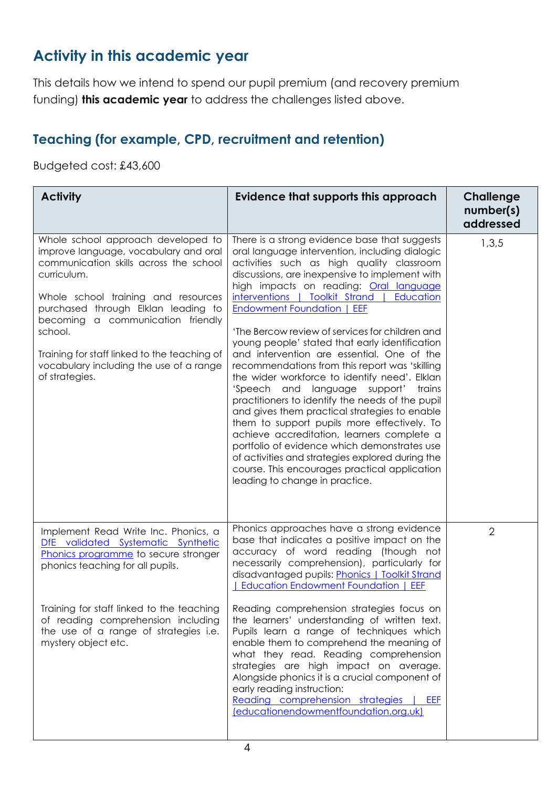## **Activity in this academic year**

This details how we intend to spend our pupil premium (and recovery premium funding) **this academic year** to address the challenges listed above.

#### **Teaching (for example, CPD, recruitment and retention)**

Budgeted cost: £43,600

| <b>Activity</b>                                                                                                                                                                                                                                                                                                                                                                 | Evidence that supports this approach                                                                                                                                                                                                                                                                                                                                                                                                                                                                                                                                                                                                                                                                                                                                                                                                                                                                                                                                                                                           | <b>Challenge</b><br>number(s)<br>addressed |
|---------------------------------------------------------------------------------------------------------------------------------------------------------------------------------------------------------------------------------------------------------------------------------------------------------------------------------------------------------------------------------|--------------------------------------------------------------------------------------------------------------------------------------------------------------------------------------------------------------------------------------------------------------------------------------------------------------------------------------------------------------------------------------------------------------------------------------------------------------------------------------------------------------------------------------------------------------------------------------------------------------------------------------------------------------------------------------------------------------------------------------------------------------------------------------------------------------------------------------------------------------------------------------------------------------------------------------------------------------------------------------------------------------------------------|--------------------------------------------|
| Whole school approach developed to<br>improve language, vocabulary and oral<br>communication skills across the school<br>curriculum.<br>Whole school training and resources<br>purchased through Elklan leading to<br>becoming a communication friendly<br>school.<br>Training for staff linked to the teaching of<br>vocabulary including the use of a range<br>of strategies. | There is a strong evidence base that suggests<br>oral language intervention, including dialogic<br>activities such as high quality classroom<br>discussions, are inexpensive to implement with<br>high impacts on reading: Oral language<br>interventions   Toolkit Strand   Education<br><b>Endowment Foundation   EEF</b><br>'The Bercow review of services for children and<br>young people' stated that early identification<br>and intervention are essential. One of the<br>recommendations from this report was 'skilling<br>the wider workforce to identify need'. Elklan<br>'Speech<br>and<br>language<br>support'<br>trains<br>practitioners to identify the needs of the pupil<br>and gives them practical strategies to enable<br>them to support pupils more effectively. To<br>achieve accreditation, learners complete a<br>portfolio of evidence which demonstrates use<br>of activities and strategies explored during the<br>course. This encourages practical application<br>leading to change in practice. | 1,3,5                                      |
| Implement Read Write Inc. Phonics, a<br>DfE validated Systematic Synthetic<br>Phonics programme to secure stronger<br>phonics teaching for all pupils.<br>Training for staff linked to the teaching<br>of reading comprehension including<br>the use of a range of strategies i.e.<br>mystery object etc.                                                                       | Phonics approaches have a strong evidence<br>base that indicates a positive impact on the<br>accuracy of word reading (though not<br>necessarily comprehension), particularly for<br>disadvantaged pupils: Phonics   Toolkit Strand<br>  Education Endowment Foundation   EEF<br>Reading comprehension strategies focus on<br>the learners' understanding of written text.<br>Pupils learn a range of techniques which<br>enable them to comprehend the meaning of<br>what they read. Reading comprehension<br>strategies are high impact on average.<br>Alongside phonics it is a crucial component of<br>early reading instruction:                                                                                                                                                                                                                                                                                                                                                                                          | $\overline{2}$                             |
|                                                                                                                                                                                                                                                                                                                                                                                 | Reading comprehension strategies<br>EEF<br>(educationendowmentfoundation.org.uk)                                                                                                                                                                                                                                                                                                                                                                                                                                                                                                                                                                                                                                                                                                                                                                                                                                                                                                                                               |                                            |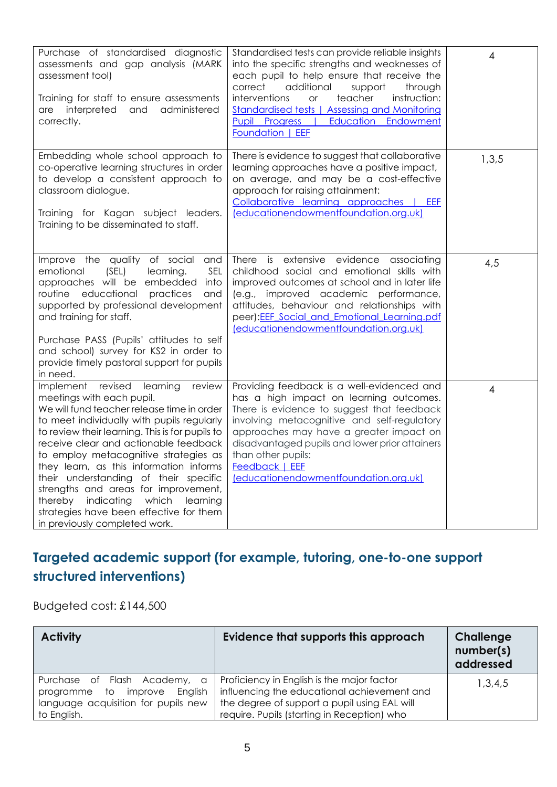| Purchase of standardised diagnostic<br>assessments and gap analysis (MARK<br>assessment tool)<br>Training for staff to ensure assessments<br>interpreted<br>administered<br>and<br>are<br>correctly.                                                                                                                                                                                                                                                                                                                                                           | Standardised tests can provide reliable insights<br>into the specific strengths and weaknesses of<br>each pupil to help ensure that receive the<br>additional<br>correct<br>support<br>through<br>interventions<br>teacher<br>instruction:<br><b>or</b><br><b>Standardised tests   Assessing and Monitoring</b><br>Education<br>Pupil Progress  <br>Endowment<br>Foundation   EEF | 4     |
|----------------------------------------------------------------------------------------------------------------------------------------------------------------------------------------------------------------------------------------------------------------------------------------------------------------------------------------------------------------------------------------------------------------------------------------------------------------------------------------------------------------------------------------------------------------|-----------------------------------------------------------------------------------------------------------------------------------------------------------------------------------------------------------------------------------------------------------------------------------------------------------------------------------------------------------------------------------|-------|
| Embedding whole school approach to<br>co-operative learning structures in order<br>to develop a consistent approach to<br>classroom dialogue.<br>Training for Kagan subject leaders.<br>Training to be disseminated to staff.                                                                                                                                                                                                                                                                                                                                  | There is evidence to suggest that collaborative<br>learning approaches have a positive impact,<br>on average, and may be a cost-effective<br>approach for raising attainment:<br>Collaborative learning approaches  <br>EEF<br>(educationendowmentfoundation.org.uk)                                                                                                              | 1,3,5 |
| Improve the quality of social and<br>(SEL)<br>emotional<br>learning.<br>SEL<br>approaches will be embedded<br>into<br>routine educational<br>practices<br>and<br>supported by professional development<br>and training for staff.<br>Purchase PASS (Pupils' attitudes to self<br>and school) survey for KS2 in order to<br>provide timely pastoral support for pupils<br>in need.                                                                                                                                                                              | There is extensive evidence associating<br>childhood social and emotional skills with<br>improved outcomes at school and in later life<br>(e.g., improved academic performance,<br>attitudes, behaviour and relationships with<br>peer): EEF Social and Emotional Learning.pdf<br>(educationendowmentfoundation.org.uk)                                                           | 4,5   |
| Implement<br>revised<br>learning<br>review<br>meetings with each pupil.<br>We will fund teacher release time in order<br>to meet individually with pupils regularly<br>to review their learning. This is for pupils to<br>receive clear and actionable feedback<br>to employ metacognitive strategies as<br>they learn, as this information informs<br>their understanding of their specific<br>strengths and areas for improvement,<br>indicating<br>which<br>thereby<br>learning<br>strategies have been effective for them<br>in previously completed work. | Providing feedback is a well-evidenced and<br>has a high impact on learning outcomes.<br>There is evidence to suggest that feedback<br>involving metacognitive and self-regulatory<br>approaches may have a greater impact on<br>disadvantaged pupils and lower prior attainers<br>than other pupils:<br><b>Feedback   EEF</b><br>(educationendowmentfoundation.org.uk)           | 4     |

## **Targeted academic support (for example, tutoring, one-to-one support structured interventions)**

Budgeted cost: £144,500

| <b>Activity</b>                                                                                                       | Evidence that supports this approach                                                                                                                                                     | Challenge<br>number(s)<br>addressed |
|-----------------------------------------------------------------------------------------------------------------------|------------------------------------------------------------------------------------------------------------------------------------------------------------------------------------------|-------------------------------------|
| Purchase of Flash Academy, a<br>programme to improve<br>English<br>language acquisition for pupils new<br>to English. | Proficiency in English is the major factor<br>influencing the educational achievement and<br>the degree of support a pupil using EAL will<br>require. Pupils (starting in Reception) who | 1,3,4,5                             |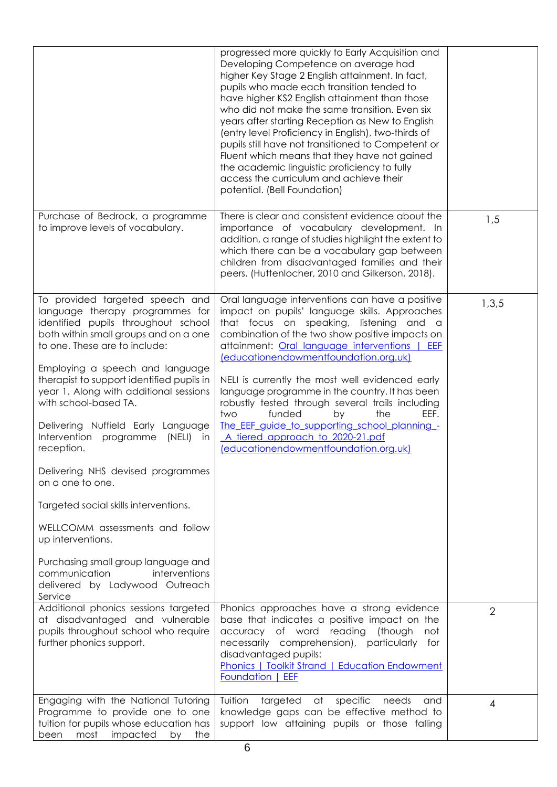|                                                                                                                                                                                                                                                                                                                                                                                                                                                                                                                                                                                                                                                                                                                         | progressed more quickly to Early Acquisition and<br>Developing Competence on average had<br>higher Key Stage 2 English attainment. In fact,<br>pupils who made each transition tended to<br>have higher KS2 English attainment than those<br>who did not make the same transition. Even six<br>years after starting Reception as New to English<br>(entry level Proficiency in English), two-thirds of<br>pupils still have not transitioned to Competent or<br>Fluent which means that they have not gained<br>the academic linguistic proficiency to fully<br>access the curriculum and achieve their<br>potential. (Bell Foundation) |                |
|-------------------------------------------------------------------------------------------------------------------------------------------------------------------------------------------------------------------------------------------------------------------------------------------------------------------------------------------------------------------------------------------------------------------------------------------------------------------------------------------------------------------------------------------------------------------------------------------------------------------------------------------------------------------------------------------------------------------------|-----------------------------------------------------------------------------------------------------------------------------------------------------------------------------------------------------------------------------------------------------------------------------------------------------------------------------------------------------------------------------------------------------------------------------------------------------------------------------------------------------------------------------------------------------------------------------------------------------------------------------------------|----------------|
| Purchase of Bedrock, a programme<br>to improve levels of vocabulary.                                                                                                                                                                                                                                                                                                                                                                                                                                                                                                                                                                                                                                                    | There is clear and consistent evidence about the<br>importance of vocabulary development. In<br>addition, a range of studies highlight the extent to<br>which there can be a vocabulary gap between<br>children from disadvantaged families and their<br>peers. (Huttenlocher, 2010 and Gilkerson, 2018).                                                                                                                                                                                                                                                                                                                               | 1,5            |
| To provided targeted speech and<br>language therapy programmes for<br>identified pupils throughout school<br>both within small groups and on a one<br>to one. These are to include:<br>Employing a speech and language<br>therapist to support identified pupils in<br>year 1. Along with additional sessions<br>with school-based TA.<br>Delivering Nuffield Early Language<br>Intervention<br>programme<br>(NELI)<br>in<br>reception.<br>Delivering NHS devised programmes<br>on a one to one.<br>Targeted social skills interventions.<br>WELLCOMM assessments and follow<br>up interventions.<br>Purchasing small group language and<br>communication<br>interventions<br>delivered by Ladywood Outreach<br>Service | Oral language interventions can have a positive<br>impact on pupils' language skills. Approaches<br>that focus on speaking, listening and a<br>combination of the two show positive impacts on<br>attainment: Oral language interventions  <br>EEF<br>(educationendowmentfoundation.org.uk)<br>NELI is currently the most well evidenced early<br>language programme in the country. It has been<br>robustly tested through several trails including<br>the<br>funded<br>by<br>EEF.<br>two<br>The EEF guide to supporting school planning -<br>A tiered approach to 2020-21.pdf<br>(educationendowmentfoundation.org.uk)                | 1,3,5          |
| Additional phonics sessions targeted<br>at disadvantaged and vulnerable<br>pupils throughout school who require<br>further phonics support.                                                                                                                                                                                                                                                                                                                                                                                                                                                                                                                                                                             | Phonics approaches have a strong evidence<br>base that indicates a positive impact on the<br>accuracy of word reading<br>(though<br>not<br>necessarily comprehension), particularly for<br>disadvantaged pupils:<br>Phonics   Toolkit Strand   Education Endowment<br><b>Foundation   EEF</b>                                                                                                                                                                                                                                                                                                                                           | $\overline{2}$ |
| Engaging with the National Tutoring<br>Programme to provide one to one<br>tuition for pupils whose education has<br>most impacted<br>been<br>by the                                                                                                                                                                                                                                                                                                                                                                                                                                                                                                                                                                     | Tuition<br>targeted<br>specific<br>at<br>needs<br>and<br>knowledge gaps can be effective method to<br>support low attaining pupils or those falling                                                                                                                                                                                                                                                                                                                                                                                                                                                                                     | 4              |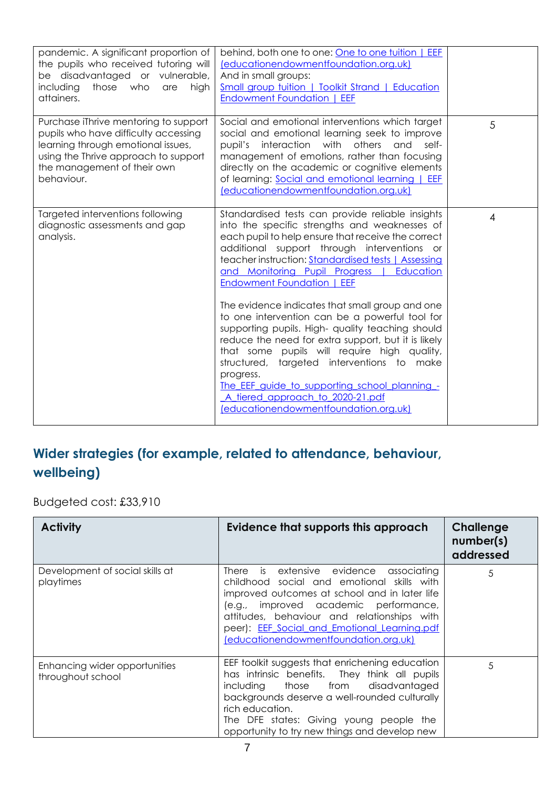| pandemic. A significant proportion of                                                                                                                                                                    | behind, both one to one: One to one tuition   EEF                                                                                                                                                                                                                                                                                                                                                                                                    |   |
|----------------------------------------------------------------------------------------------------------------------------------------------------------------------------------------------------------|------------------------------------------------------------------------------------------------------------------------------------------------------------------------------------------------------------------------------------------------------------------------------------------------------------------------------------------------------------------------------------------------------------------------------------------------------|---|
| the pupils who received tutoring will                                                                                                                                                                    | (educationendowmentfoundation.org.uk)                                                                                                                                                                                                                                                                                                                                                                                                                |   |
| be disadvantaged or vulnerable,                                                                                                                                                                          | And in small groups:                                                                                                                                                                                                                                                                                                                                                                                                                                 |   |
| including<br>those who<br>are<br>high                                                                                                                                                                    | <b>Small group tuition   Toolkit Strand   Education</b>                                                                                                                                                                                                                                                                                                                                                                                              |   |
| attainers.                                                                                                                                                                                               | <b>Endowment Foundation   EEF</b>                                                                                                                                                                                                                                                                                                                                                                                                                    |   |
|                                                                                                                                                                                                          |                                                                                                                                                                                                                                                                                                                                                                                                                                                      |   |
| Purchase iThrive mentoring to support<br>pupils who have difficulty accessing<br>learning through emotional issues,<br>using the Thrive approach to support<br>the management of their own<br>behaviour. | Social and emotional interventions which target<br>social and emotional learning seek to improve<br>interaction with<br>others<br>pupil's<br>and<br>self-<br>management of emotions, rather than focusing<br>directly on the academic or cognitive elements<br>of learning: Social and emotional learning   EEF<br>(educationendowmentfoundation.org.uk)                                                                                             | 5 |
| Targeted interventions following<br>diagnostic assessments and gap<br>analysis.                                                                                                                          | Standardised tests can provide reliable insights<br>into the specific strengths and weaknesses of<br>each pupil to help ensure that receive the correct<br>additional support through interventions or<br>teacher instruction: Standardised tests   Assessing<br>and Monitoring Pupil Progress  <br>Education<br><b>Endowment Foundation   EEF</b>                                                                                                   | 4 |
|                                                                                                                                                                                                          | The evidence indicates that small group and one<br>to one intervention can be a powerful tool for<br>supporting pupils. High- quality teaching should<br>reduce the need for extra support, but it is likely<br>that some pupils will require high quality,<br>structured, targeted interventions to make<br>progress.<br>The_EEF_guide_to_supporting_school_planning_-<br>A tiered approach to 2020-21.pdf<br>(educationendowmentfoundation.org.uk) |   |

### **Wider strategies (for example, related to attendance, behaviour, wellbeing)**

Budgeted cost: £33,910

| <b>Activity</b>                                    | Evidence that supports this approach                                                                                                                                                                                                                                                                                    | Challenge<br>number(s)<br>addressed |
|----------------------------------------------------|-------------------------------------------------------------------------------------------------------------------------------------------------------------------------------------------------------------------------------------------------------------------------------------------------------------------------|-------------------------------------|
| Development of social skills at<br>playtimes       | There is extensive evidence associating<br>childhood social and emotional skills with<br>improved outcomes at school and in later life<br>(e.g., improved academic performance,<br>attitudes, behaviour and relationships with<br>peer): EEF Social and Emotional Learning.pdf<br>(educationendowmentfoundation.org.uk) | 5                                   |
| Enhancing wider opportunities<br>throughout school | EEF toolkit suggests that enrichening education<br>has intrinsic benefits. They think all pupils<br>including those from disadvantaged<br>backgrounds deserve a well-rounded culturally<br>rich education.<br>The DFE states: Giving young people the<br>opportunity to try new things and develop new                  | 5                                   |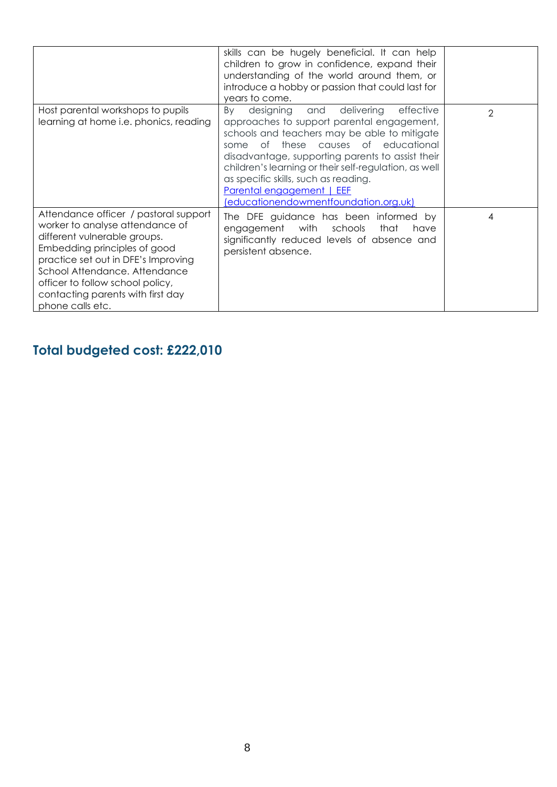|                                                                                                                                                                                                                                                                                                               | skills can be hugely beneficial. It can help<br>children to grow in confidence, expand their<br>understanding of the world around them, or<br>introduce a hobby or passion that could last for<br>years to come.                                                                                                                                                                                               |                |
|---------------------------------------------------------------------------------------------------------------------------------------------------------------------------------------------------------------------------------------------------------------------------------------------------------------|----------------------------------------------------------------------------------------------------------------------------------------------------------------------------------------------------------------------------------------------------------------------------------------------------------------------------------------------------------------------------------------------------------------|----------------|
| Host parental workshops to pupils<br>learning at home i.e. phonics, reading                                                                                                                                                                                                                                   | designing and delivering<br>effective<br>By<br>approaches to support parental engagement,<br>schools and teachers may be able to mitigate<br>of these causes of educational<br>some<br>disadvantage, supporting parents to assist their<br>children's learning or their self-regulation, as well<br>as specific skills, such as reading.<br>Parental engagement   EEF<br>(educationendowmentfoundation.org.uk) | $\mathfrak{D}$ |
| Attendance officer / pastoral support<br>worker to analyse attendance of<br>different vulnerable groups.<br>Embedding principles of good<br>practice set out in DFE's Improving<br>School Attendance. Attendance<br>officer to follow school policy,<br>contacting parents with first day<br>phone calls etc. | The DFE guidance has been informed by<br>engagement with schools that<br>have<br>significantly reduced levels of absence and<br>persistent absence.                                                                                                                                                                                                                                                            | 4              |

## **Total budgeted cost: £222,010**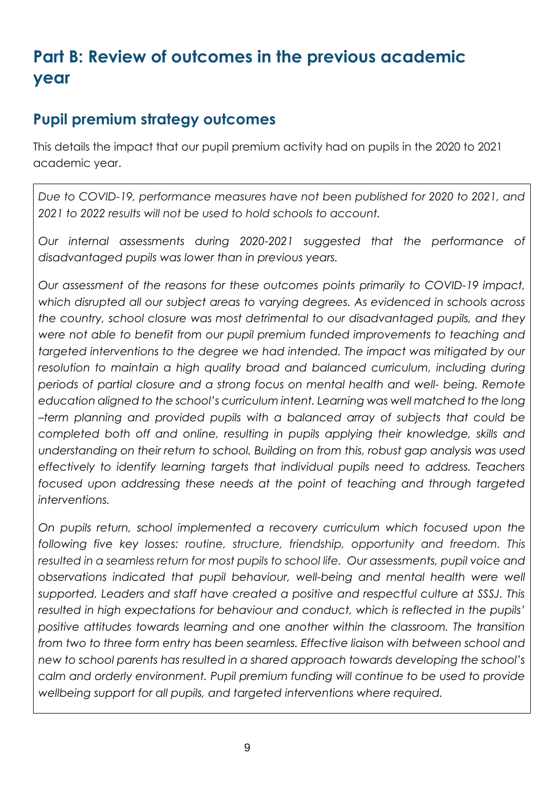# **Part B: Review of outcomes in the previous academic year**

## **Pupil premium strategy outcomes**

This details the impact that our pupil premium activity had on pupils in the 2020 to 2021 academic year.

*Due to COVID-19, performance measures have not been published for 2020 to 2021, and 2021 to 2022 results will not be used to hold schools to account.* 

*Our internal assessments during 2020-2021 suggested that the performance of disadvantaged pupils was lower than in previous years.* 

*Our assessment of the reasons for these outcomes points primarily to COVID-19 impact, which disrupted all our subject areas to varying degrees. As evidenced in schools across the country, school closure was most detrimental to our disadvantaged pupils, and they were not able to benefit from our pupil premium funded improvements to teaching and targeted interventions to the degree we had intended. The impact was mitigated by our resolution to maintain a high quality broad and balanced curriculum, including during periods of partial closure and a strong focus on mental health and well- being. Remote education aligned to the school's curriculum intent. Learning was well matched to the long –term planning and provided pupils with a balanced array of subjects that could be completed both off and online, resulting in pupils applying their knowledge, skills and understanding on their return to school. Building on from this, robust gap analysis was used effectively to identify learning targets that individual pupils need to address. Teachers focused upon addressing these needs at the point of teaching and through targeted interventions.* 

*On pupils return, school implemented a recovery curriculum which focused upon the following five key losses: routine, structure, friendship, opportunity and freedom. This resulted in a seamless return for most pupils to school life. Our assessments, pupil voice and*  observations indicated that pupil behaviour, well-being and mental health were well *supported. Leaders and staff have created a positive and respectful culture at SSSJ. This resulted in high expectations for behaviour and conduct, which is reflected in the pupils' positive attitudes towards learning and one another within the classroom. The transition from two to three form entry has been seamless. Effective liaison with between school and new to school parents has resulted in a shared approach towards developing the school's calm and orderly environment. Pupil premium funding will continue to be used to provide wellbeing support for all pupils, and targeted interventions where required.*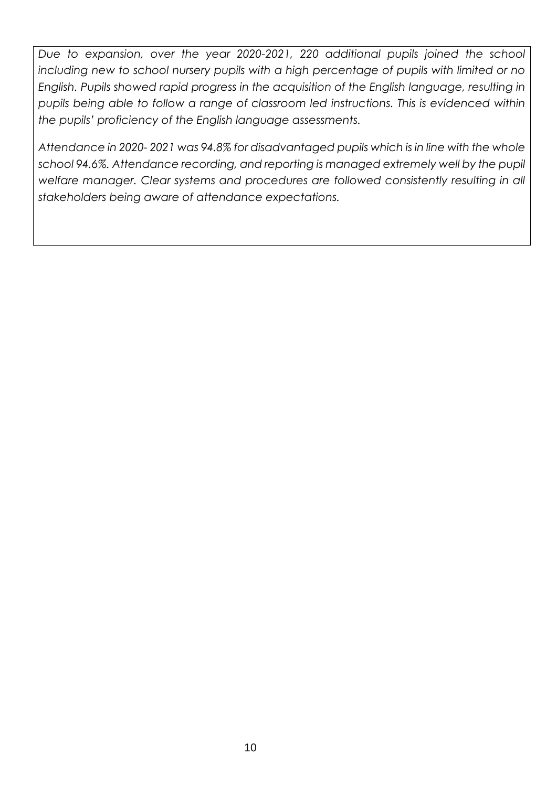*Due to expansion, over the year 2020-2021, 220 additional pupils joined the school*  including new to school nursery pupils with a high percentage of pupils with limited or no *English. Pupils showed rapid progress in the acquisition of the English language, resulting in pupils being able to follow a range of classroom led instructions. This is evidenced within the pupils' proficiency of the English language assessments.*

*Attendance in 2020- 2021 was 94.8% for disadvantaged pupils which is in line with the whole school 94.6%. Attendance recording, and reporting is managed extremely well by the pupil welfare manager. Clear systems and procedures are followed consistently resulting in all stakeholders being aware of attendance expectations.*